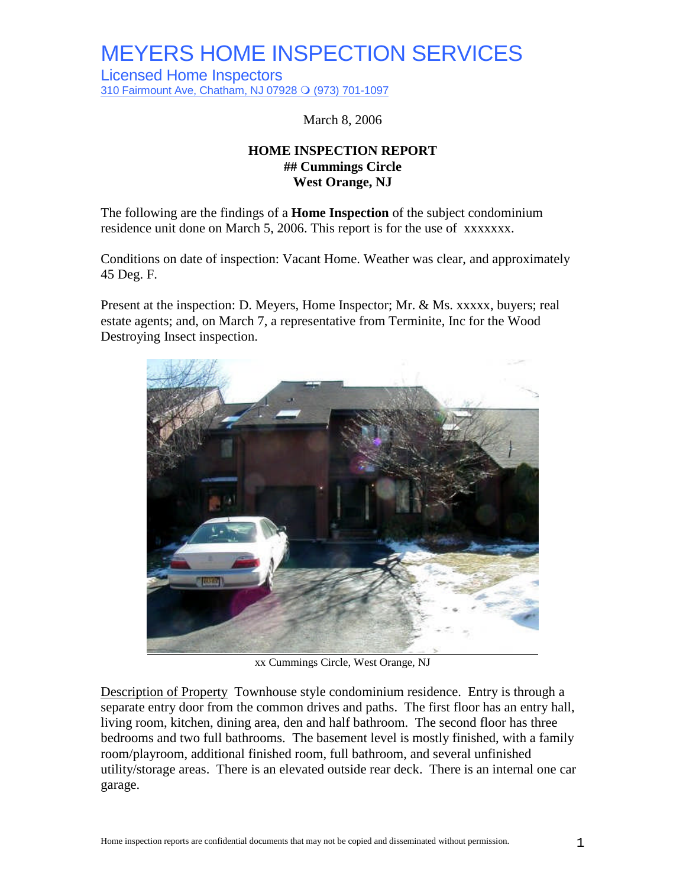Licensed Home Inspectors 310 Fairmount Ave, Chatham, NJ 07928 Q (973) 701-1097

March 8, 2006

#### **HOME INSPECTION REPORT ## Cummings Circle West Orange, NJ**

The following are the findings of a **Home Inspection** of the subject condominium residence unit done on March 5, 2006. This report is for the use of xxxxxxx.

Conditions on date of inspection: Vacant Home. Weather was clear, and approximately 45 Deg. F.

Present at the inspection: D. Meyers, Home Inspector; Mr. & Ms. xxxxx, buyers; real estate agents; and, on March 7, a representative from Terminite, Inc for the Wood Destroying Insect inspection.



xx Cummings Circle, West Orange, NJ

Description of Property Townhouse style condominium residence. Entry is through a separate entry door from the common drives and paths. The first floor has an entry hall, living room, kitchen, dining area, den and half bathroom. The second floor has three bedrooms and two full bathrooms. The basement level is mostly finished, with a family room/playroom, additional finished room, full bathroom, and several unfinished utility/storage areas. There is an elevated outside rear deck. There is an internal one car garage.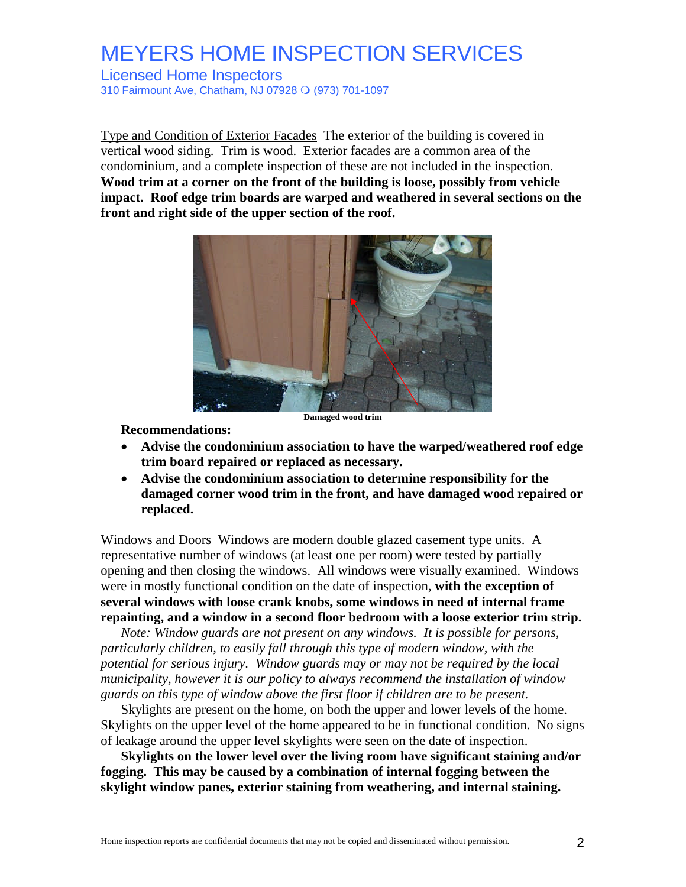Licensed Home Inspectors 310 Fairmount Ave, Chatham, NJ 07928 O (973) 701-1097

Type and Condition of Exterior Facades The exterior of the building is covered in vertical wood siding. Trim is wood. Exterior facades are a common area of the condominium, and a complete inspection of these are not included in the inspection. **Wood trim at a corner on the front of the building is loose, possibly from vehicle impact. Roof edge trim boards are warped and weathered in several sections on the front and right side of the upper section of the roof.**



**Damaged wood trim**

**Recommendations:**

- **Advise the condominium association to have the warped/weathered roof edge trim board repaired or replaced as necessary.**
- **Advise the condominium association to determine responsibility for the damaged corner wood trim in the front, and have damaged wood repaired or replaced.**

Windows and Doors Windows are modern double glazed casement type units. A representative number of windows (at least one per room) were tested by partially opening and then closing the windows. All windows were visually examined. Windows were in mostly functional condition on the date of inspection, **with the exception of several windows with loose crank knobs, some windows in need of internal frame repainting, and a window in a second floor bedroom with a loose exterior trim strip.**

*Note: Window guards are not present on any windows. It is possible for persons, particularly children, to easily fall through this type of modern window, with the potential for serious injury. Window guards may or may not be required by the local municipality, however it is our policy to always recommend the installation of window guards on this type of window above the first floor if children are to be present.*

Skylights are present on the home, on both the upper and lower levels of the home. Skylights on the upper level of the home appeared to be in functional condition. No signs of leakage around the upper level skylights were seen on the date of inspection.

**Skylights on the lower level over the living room have significant staining and/or fogging. This may be caused by a combination of internal fogging between the skylight window panes, exterior staining from weathering, and internal staining.**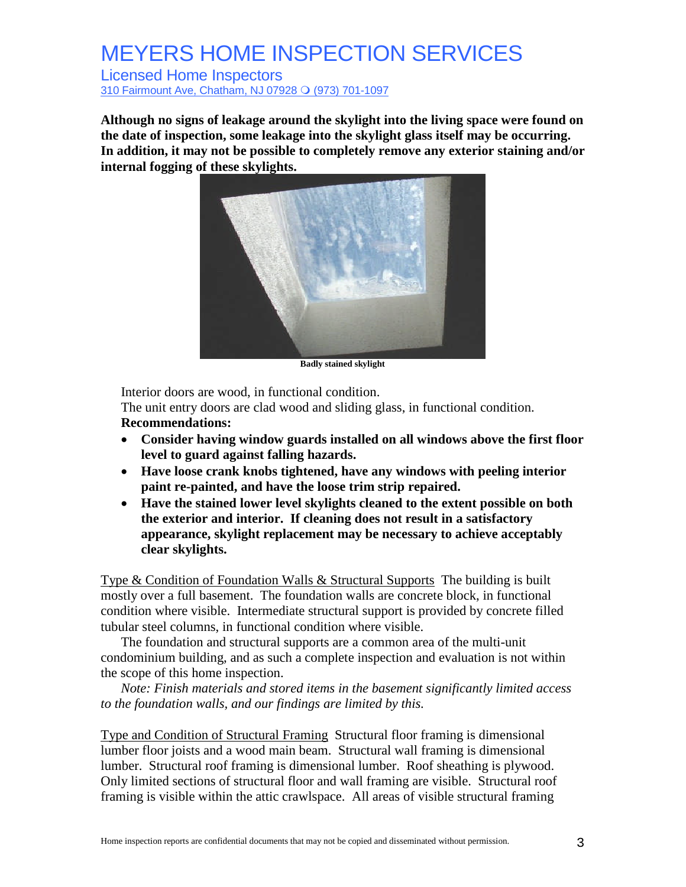Licensed Home Inspectors 310 Fairmount Ave, Chatham, NJ 07928 O (973) 701-1097

**Although no signs of leakage around the skylight into the living space were found on the date of inspection, some leakage into the skylight glass itself may be occurring. In addition, it may not be possible to completely remove any exterior staining and/or internal fogging of these skylights.**



**Badly stained skylight**

Interior doors are wood, in functional condition.

The unit entry doors are clad wood and sliding glass, in functional condition. **Recommendations:**

- **Consider having window guards installed on all windows above the first floor level to guard against falling hazards.**
- **Have loose crank knobs tightened, have any windows with peeling interior paint re-painted, and have the loose trim strip repaired.**
- **Have the stained lower level skylights cleaned to the extent possible on both the exterior and interior. If cleaning does not result in a satisfactory appearance, skylight replacement may be necessary to achieve acceptably clear skylights.**

Type & Condition of Foundation Walls & Structural Supports The building is built mostly over a full basement. The foundation walls are concrete block, in functional condition where visible. Intermediate structural support is provided by concrete filled tubular steel columns, in functional condition where visible.

The foundation and structural supports are a common area of the multi-unit condominium building, and as such a complete inspection and evaluation is not within the scope of this home inspection.

*Note: Finish materials and stored items in the basement significantly limited access to the foundation walls, and our findings are limited by this.*

Type and Condition of Structural Framing Structural floor framing is dimensional lumber floor joists and a wood main beam. Structural wall framing is dimensional lumber. Structural roof framing is dimensional lumber. Roof sheathing is plywood. Only limited sections of structural floor and wall framing are visible. Structural roof framing is visible within the attic crawlspace. All areas of visible structural framing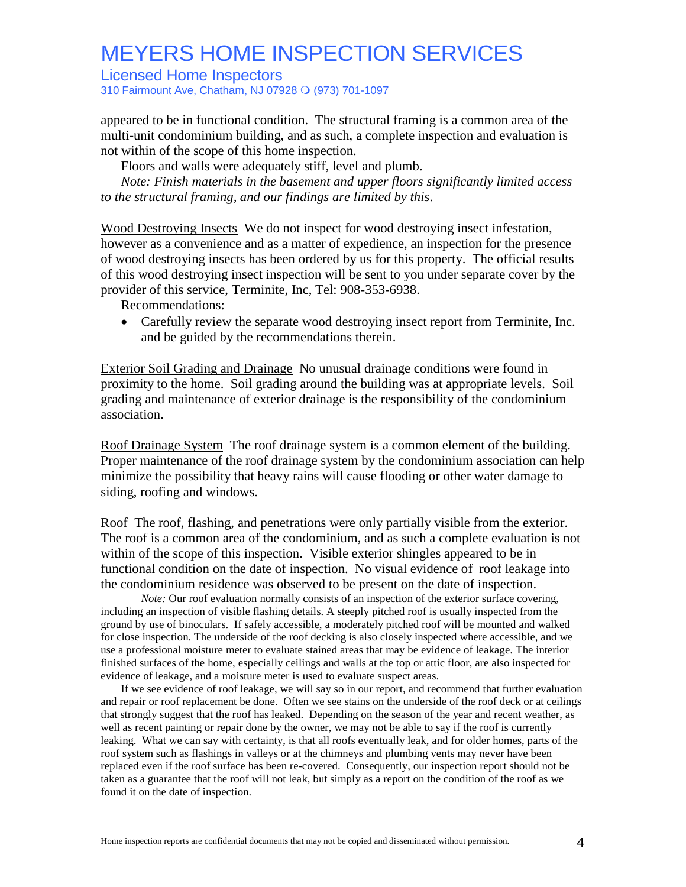Licensed Home Inspectors

310 Fairmount Ave, Chatham, NJ 07928 O (973) 701-1097

appeared to be in functional condition. The structural framing is a common area of the multi-unit condominium building, and as such, a complete inspection and evaluation is not within of the scope of this home inspection.

Floors and walls were adequately stiff, level and plumb.

*Note: Finish materials in the basement and upper floors significantly limited access to the structural framing, and our findings are limited by this*.

Wood Destroying Insects We do not inspect for wood destroying insect infestation, however as a convenience and as a matter of expedience, an inspection for the presence of wood destroying insects has been ordered by us for this property. The official results of this wood destroying insect inspection will be sent to you under separate cover by the provider of this service, Terminite, Inc, Tel: 908-353-6938.

Recommendations:

 Carefully review the separate wood destroying insect report from Terminite, Inc. and be guided by the recommendations therein.

Exterior Soil Grading and Drainage No unusual drainage conditions were found in proximity to the home. Soil grading around the building was at appropriate levels. Soil grading and maintenance of exterior drainage is the responsibility of the condominium association.

Roof Drainage System The roof drainage system is a common element of the building. Proper maintenance of the roof drainage system by the condominium association can help minimize the possibility that heavy rains will cause flooding or other water damage to siding, roofing and windows.

Roof The roof, flashing, and penetrations were only partially visible from the exterior. The roof is a common area of the condominium, and as such a complete evaluation is not within of the scope of this inspection. Visible exterior shingles appeared to be in functional condition on the date of inspection. No visual evidence of roof leakage into the condominium residence was observed to be present on the date of inspection.

*Note:* Our roof evaluation normally consists of an inspection of the exterior surface covering, including an inspection of visible flashing details. A steeply pitched roof is usually inspected from the ground by use of binoculars. If safely accessible, a moderately pitched roof will be mounted and walked for close inspection. The underside of the roof decking is also closely inspected where accessible, and we use a professional moisture meter to evaluate stained areas that may be evidence of leakage. The interior finished surfaces of the home, especially ceilings and walls at the top or attic floor, are also inspected for evidence of leakage, and a moisture meter is used to evaluate suspect areas.

If we see evidence of roof leakage, we will say so in our report, and recommend that further evaluation and repair or roof replacement be done. Often we see stains on the underside of the roof deck or at ceilings that strongly suggest that the roof has leaked. Depending on the season of the year and recent weather, as well as recent painting or repair done by the owner, we may not be able to say if the roof is currently leaking. What we can say with certainty, is that all roofs eventually leak, and for older homes, parts of the roof system such as flashings in valleys or at the chimneys and plumbing vents may never have been replaced even if the roof surface has been re-covered. Consequently, our inspection report should not be taken as a guarantee that the roof will not leak, but simply as a report on the condition of the roof as we found it on the date of inspection.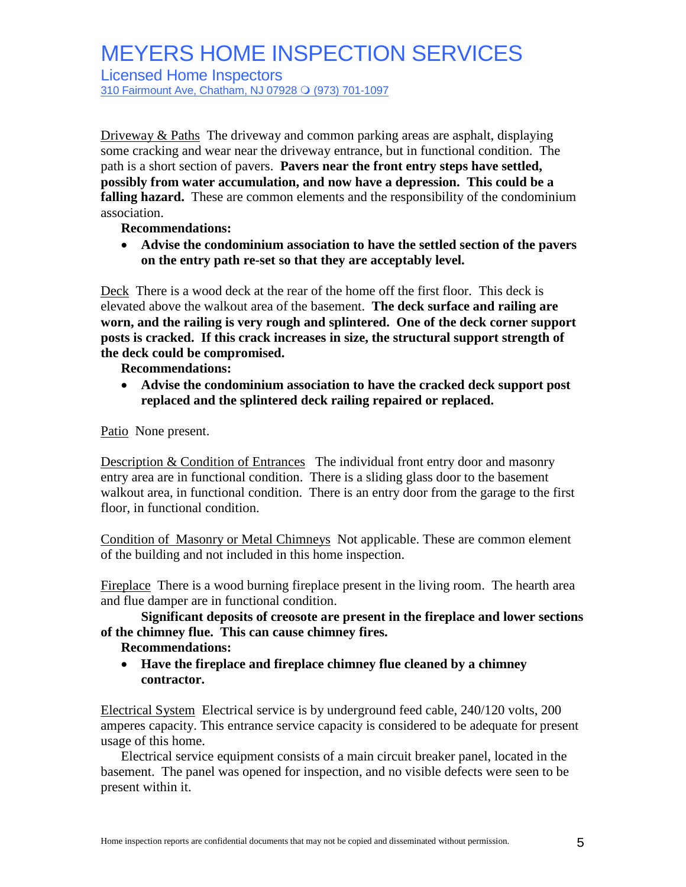Licensed Home Inspectors

310 Fairmount Ave, Chatham, NJ 07928 O (973) 701-1097

Driveway & Paths The driveway and common parking areas are asphalt, displaying some cracking and wear near the driveway entrance, but in functional condition. The path is a short section of pavers. **Pavers near the front entry steps have settled, possibly from water accumulation, and now have a depression. This could be a** falling hazard. These are common elements and the responsibility of the condominium association.

**Recommendations:**

 **Advise the condominium association to have the settled section of the pavers on the entry path re-set so that they are acceptably level.**

Deck There is a wood deck at the rear of the home off the first floor. This deck is elevated above the walkout area of the basement. **The deck surface and railing are worn, and the railing is very rough and splintered. One of the deck corner support posts is cracked. If this crack increases in size, the structural support strength of the deck could be compromised.**

**Recommendations:**

 **Advise the condominium association to have the cracked deck support post replaced and the splintered deck railing repaired or replaced.**

Patio None present.

Description & Condition of Entrances The individual front entry door and masonry entry area are in functional condition. There is a sliding glass door to the basement walkout area, in functional condition. There is an entry door from the garage to the first floor, in functional condition.

Condition of Masonry or Metal Chimneys Not applicable. These are common element of the building and not included in this home inspection.

Fireplace There is a wood burning fireplace present in the living room. The hearth area and flue damper are in functional condition.

**Significant deposits of creosote are present in the fireplace and lower sections of the chimney flue. This can cause chimney fires.**

#### **Recommendations:**

 **Have the fireplace and fireplace chimney flue cleaned by a chimney contractor.**

Electrical System Electrical service is by underground feed cable, 240/120 volts, 200 amperes capacity. This entrance service capacity is considered to be adequate for present usage of this home.

Electrical service equipment consists of a main circuit breaker panel, located in the basement. The panel was opened for inspection, and no visible defects were seen to be present within it.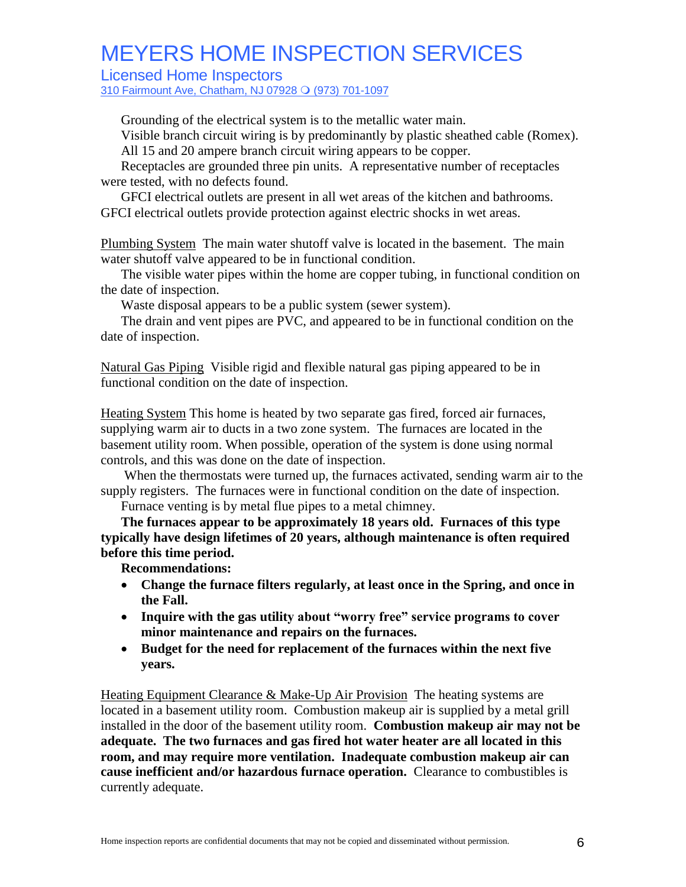Licensed Home Inspectors

310 Fairmount Ave, Chatham, NJ 07928 O (973) 701-1097

Grounding of the electrical system is to the metallic water main.

Visible branch circuit wiring is by predominantly by plastic sheathed cable (Romex). All 15 and 20 ampere branch circuit wiring appears to be copper.

Receptacles are grounded three pin units. A representative number of receptacles were tested, with no defects found.

GFCI electrical outlets are present in all wet areas of the kitchen and bathrooms. GFCI electrical outlets provide protection against electric shocks in wet areas.

Plumbing System The main water shutoff valve is located in the basement. The main water shutoff valve appeared to be in functional condition.

The visible water pipes within the home are copper tubing, in functional condition on the date of inspection.

Waste disposal appears to be a public system (sewer system).

The drain and vent pipes are PVC, and appeared to be in functional condition on the date of inspection.

Natural Gas Piping Visible rigid and flexible natural gas piping appeared to be in functional condition on the date of inspection.

Heating System This home is heated by two separate gas fired, forced air furnaces, supplying warm air to ducts in a two zone system. The furnaces are located in the basement utility room. When possible, operation of the system is done using normal controls, and this was done on the date of inspection.

When the thermostats were turned up, the furnaces activated, sending warm air to the supply registers. The furnaces were in functional condition on the date of inspection.

Furnace venting is by metal flue pipes to a metal chimney.

**The furnaces appear to be approximately 18 years old. Furnaces of this type typically have design lifetimes of 20 years, although maintenance is often required before this time period.**

**Recommendations:**

- **Change the furnace filters regularly, at least once in the Spring, and once in the Fall.**
- Inquire with the gas utility about "worry free" service programs to cover **minor maintenance and repairs on the furnaces.**
- **Budget for the need for replacement of the furnaces within the next five years.**

Heating Equipment Clearance & Make-Up Air Provision The heating systems are located in a basement utility room. Combustion makeup air is supplied by a metal grill installed in the door of the basement utility room. **Combustion makeup air may not be adequate. The two furnaces and gas fired hot water heater are all located in this room, and may require more ventilation. Inadequate combustion makeup air can cause inefficient and/or hazardous furnace operation.** Clearance to combustibles is currently adequate.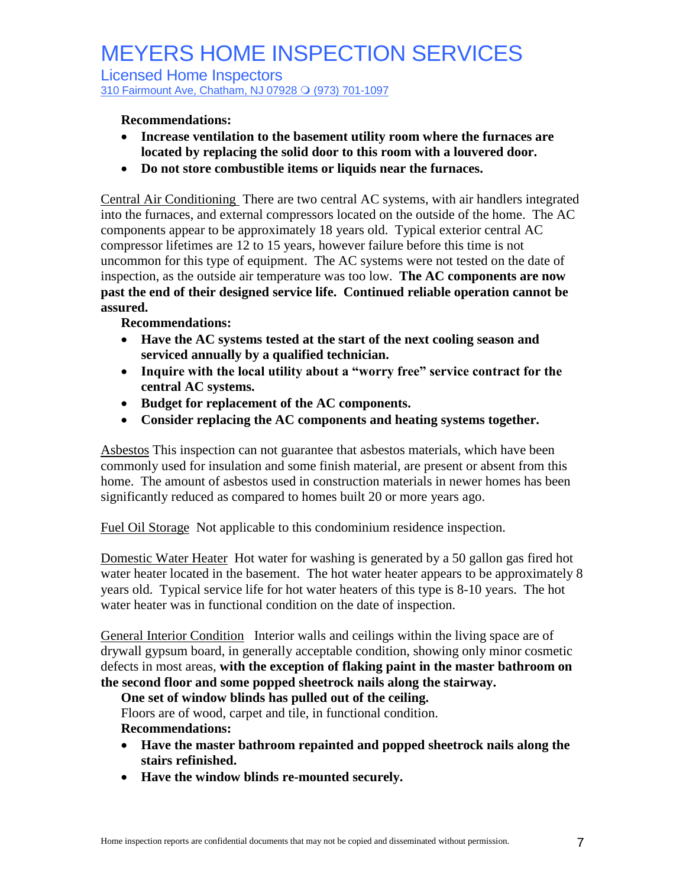Licensed Home Inspectors 310 Fairmount Ave, Chatham, NJ 07928 O (973) 701-1097

#### **Recommendations:**

- **Increase ventilation to the basement utility room where the furnaces are located by replacing the solid door to this room with a louvered door.**
- **Do not store combustible items or liquids near the furnaces.**

Central Air Conditioning There are two central AC systems, with air handlers integrated into the furnaces, and external compressors located on the outside of the home. The AC components appear to be approximately 18 years old. Typical exterior central AC compressor lifetimes are 12 to 15 years, however failure before this time is not uncommon for this type of equipment. The AC systems were not tested on the date of inspection, as the outside air temperature was too low. **The AC components are now past the end of their designed service life. Continued reliable operation cannot be assured.**

#### **Recommendations:**

- **Have the AC systems tested at the start of the next cooling season and serviced annually by a qualified technician.**
- Inquire with the local utility about a "worry free" service contract for the **central AC systems.**
- **Budget for replacement of the AC components.**
- **Consider replacing the AC components and heating systems together.**

Asbestos This inspection can not guarantee that asbestos materials, which have been commonly used for insulation and some finish material, are present or absent from this home. The amount of asbestos used in construction materials in newer homes has been significantly reduced as compared to homes built 20 or more years ago.

Fuel Oil Storage Not applicable to this condominium residence inspection.

Domestic Water Heater Hot water for washing is generated by a 50 gallon gas fired hot water heater located in the basement. The hot water heater appears to be approximately 8 years old. Typical service life for hot water heaters of this type is 8-10 years. The hot water heater was in functional condition on the date of inspection.

General Interior Condition Interior walls and ceilings within the living space are of drywall gypsum board, in generally acceptable condition, showing only minor cosmetic defects in most areas, **with the exception of flaking paint in the master bathroom on the second floor and some popped sheetrock nails along the stairway.**

#### **One set of window blinds has pulled out of the ceiling.**

Floors are of wood, carpet and tile, in functional condition.

#### **Recommendations:**

- **Have the master bathroom repainted and popped sheetrock nails along the stairs refinished.**
- **Have the window blinds re-mounted securely.**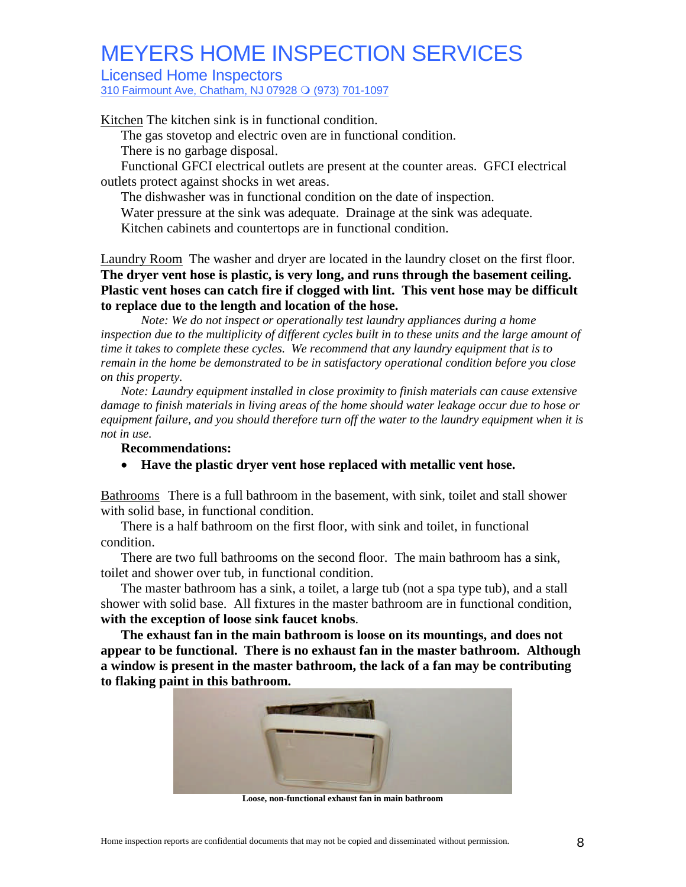Licensed Home Inspectors

310 Fairmount Ave, Chatham, NJ 07928 O (973) 701-1097

Kitchen The kitchen sink is in functional condition.

The gas stovetop and electric oven are in functional condition.

There is no garbage disposal.

Functional GFCI electrical outlets are present at the counter areas. GFCI electrical outlets protect against shocks in wet areas.

The dishwasher was in functional condition on the date of inspection.

Water pressure at the sink was adequate. Drainage at the sink was adequate.

Kitchen cabinets and countertops are in functional condition.

Laundry Room The washer and dryer are located in the laundry closet on the first floor. **The dryer vent hose is plastic, is very long, and runs through the basement ceiling. Plastic vent hoses can catch fire if clogged with lint. This vent hose may be difficult to replace due to the length and location of the hose.**

*Note: We do not inspect or operationally test laundry appliances during a home inspection due to the multiplicity of different cycles built in to these units and the large amount of time it takes to complete these cycles. We recommend that any laundry equipment that is to remain in the home be demonstrated to be in satisfactory operational condition before you close on this property.*

*Note: Laundry equipment installed in close proximity to finish materials can cause extensive damage to finish materials in living areas of the home should water leakage occur due to hose or equipment failure, and you should therefore turn off the water to the laundry equipment when it is not in use.*

#### **Recommendations:**

**Have the plastic dryer vent hose replaced with metallic vent hose.**

Bathrooms There is a full bathroom in the basement, with sink, toilet and stall shower with solid base, in functional condition.

There is a half bathroom on the first floor, with sink and toilet, in functional condition.

There are two full bathrooms on the second floor. The main bathroom has a sink, toilet and shower over tub, in functional condition.

The master bathroom has a sink, a toilet, a large tub (not a spa type tub), and a stall shower with solid base. All fixtures in the master bathroom are in functional condition, **with the exception of loose sink faucet knobs**.

**The exhaust fan in the main bathroom is loose on its mountings, and does not appear to be functional. There is no exhaust fan in the master bathroom. Although a window is present in the master bathroom, the lack of a fan may be contributing to flaking paint in this bathroom.**



**Loose, non-functional exhaust fan in main bathroom**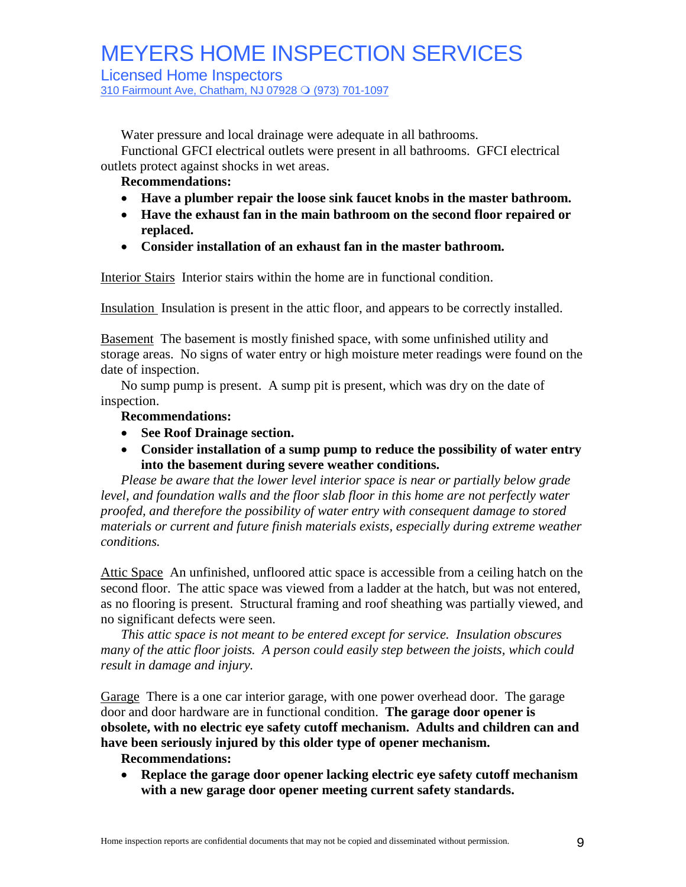Licensed Home Inspectors

310 Fairmount Ave, Chatham, NJ 07928 O (973) 701-1097

Water pressure and local drainage were adequate in all bathrooms.

Functional GFCI electrical outlets were present in all bathrooms. GFCI electrical outlets protect against shocks in wet areas.

#### **Recommendations:**

- **Have a plumber repair the loose sink faucet knobs in the master bathroom.**
- **Have the exhaust fan in the main bathroom on the second floor repaired or replaced.**
- **Consider installation of an exhaust fan in the master bathroom.**

Interior Stairs Interior stairs within the home are in functional condition.

Insulation Insulation is present in the attic floor, and appears to be correctly installed.

Basement The basement is mostly finished space, with some unfinished utility and storage areas. No signs of water entry or high moisture meter readings were found on the date of inspection.

No sump pump is present. A sump pit is present, which was dry on the date of inspection.

#### **Recommendations:**

- **See Roof Drainage section.**
- **Consider installation of a sump pump to reduce the possibility of water entry into the basement during severe weather conditions.**

*Please be aware that the lower level interior space is near or partially below grade level, and foundation walls and the floor slab floor in this home are not perfectly water proofed, and therefore the possibility of water entry with consequent damage to stored materials or current and future finish materials exists, especially during extreme weather conditions.*

Attic Space An unfinished, unfloored attic space is accessible from a ceiling hatch on the second floor. The attic space was viewed from a ladder at the hatch, but was not entered, as no flooring is present. Structural framing and roof sheathing was partially viewed, and no significant defects were seen.

*This attic space is not meant to be entered except for service. Insulation obscures many of the attic floor joists. A person could easily step between the joists, which could result in damage and injury.*

Garage There is a one car interior garage, with one power overhead door. The garage door and door hardware are in functional condition. **The garage door opener is obsolete, with no electric eye safety cutoff mechanism. Adults and children can and have been seriously injured by this older type of opener mechanism.**

#### **Recommendations:**

 **Replace the garage door opener lacking electric eye safety cutoff mechanism with a new garage door opener meeting current safety standards.**